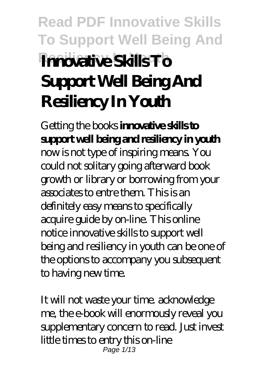# **Read PDF Innovative Skills To Support Well Being And Resiliency In Youth Innovative Skills To Support Well Being And Resiliency In Youth**

Getting the books **innovative skills to support well being and resiliency in youth** now is not type of inspiring means. You could not solitary going afterward book growth or library or borrowing from your associates to entre them. This is an definitely easy means to specifically acquire guide by on-line. This online notice innovative skills to support well being and resiliency in youth can be one of the options to accompany you subsequent to having new time.

It will not waste your time. acknowledge me, the e-book will enormously reveal you supplementary concern to read. Just invest little times to entry this on-line Page 1/13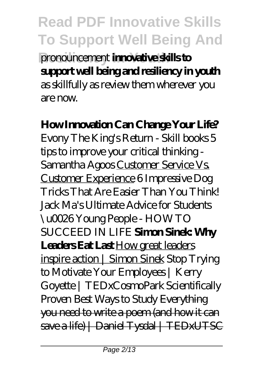**Read PDF Innovative Skills To Support Well Being And Resiliency In Youth** pronouncement **innovative skills to support well being and resiliency in youth** as skillfully as review them wherever you are now.

### **How Innovation Can Change Your Life?**

*Evony The King's Return - Skill books 5 tips to improve your critical thinking - Samantha Agoos* Customer Service Vs. Customer Experience *6 Impressive Dog Tricks That Are Easier Than You Think! Jack Ma's Ultimate Advice for Students \u0026 Young People - HOW TO SUCCEED IN LIFE* **Simon Sinek: Why Leaders Eat Last** How great leaders inspire action | Simon Sinek *Stop Trying to Motivate Your Employees | Kerry Goyette | TEDxCosmoPark Scientifically Proven Best Ways to Study* Everything you need to write a poem (and how it can save a life) | Daniel Tysdal | TEDxUTSC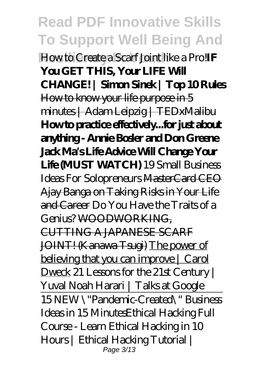**Read PDF Innovative Skills To Support Well Being And Resiliency In Youth** How to Create a Scarf Joint like a Pro!**IF You GET THIS, Your LIFE Will CHANGE! | Simon Sinek | Top 10 Rules** How to know your life purpose in 5 minutes | Adam Leipzig | TEDxMalibu **How to practice effectively...for just about anything - Annie Bosler and Don Greene Jack Ma's Life Advice Will Change Your Life (MUST WATCH)** *19 Small Business Ideas For Solopreneurs* MasterCard CEO Ajay Banga on Taking Risks in Your Life and Career *Do You Have the Traits of a Genius?* WOODWORKING, CUTTING A JAPANESE SCARF JOINT! (Kanawa Tsugi) The power of believing that you can improve | Carol Dweck 21 Lessons for the 21st Century | Yuval Noah Harari | Talks at Google 15 NEW \"Pandemic-Created\" Business Ideas in 15 Minutes*Ethical Hacking Full Course - Learn Ethical Hacking in 10 Hours | Ethical Hacking Tutorial |* Page 3/13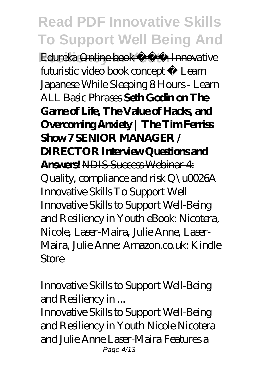*Edureka* Online book **All Innovative** futuristic video book concept - Learn Japanese While Sleeping 8 Hours - Learn ALL Basic Phrases **Seth Godin on The Game of Life, The Value of Hacks, and Overcoming Anxiety | The Tim Ferriss Show 7 SENIOR MANAGER / DIRECTOR Interview Questions and Answers!** NDIS Success Webinar 4: Quality, compliance and risk Q\u0026A *Innovative Skills To Support Well* Innovative Skills to Support Well-Being and Resiliency in Youth eBook: Nicotera, Nicole, Laser-Maira, Julie Anne, Laser-Maira, Julie Anne: Amazon.co.uk: Kindle Store

#### *Innovative Skills to Support Well-Being and Resiliency in ...*

Innovative Skills to Support Well-Being and Resiliency in Youth Nicole Nicotera and Julie Anne Laser-Maira Features a Page 4/13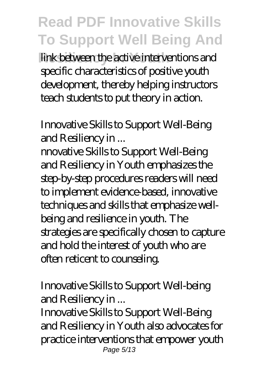**Rink between the active interventions and** specific characteristics of positive youth development, thereby helping instructors teach students to put theory in action.

### *Innovative Skills to Support Well-Being and Resiliency in ...*

nnovative Skills to Support Well-Being and Resiliency in Youth emphasizes the step-by-step procedures readers will need to implement evidence-based, innovative techniques and skills that emphasize wellbeing and resilience in youth. The strategies are specifically chosen to capture and hold the interest of youth who are often reticent to counseling.

#### *Innovative Skills to Support Well-being and Resiliency in ...*

Innovative Skills to Support Well-Being and Resiliency in Youth also advocates for practice interventions that empower youth Page 5/13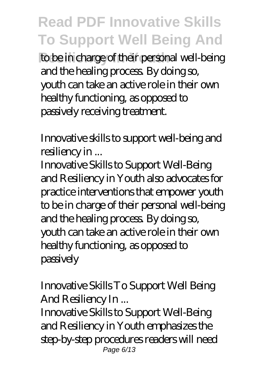to be in charge of their personal well-being and the healing process. By doing so, youth can take an active role in their own healthy functioning, as opposed to passively receiving treatment.

*Innovative skills to support well-being and resiliency in ...*

Innovative Skills to Support Well-Being and Resiliency in Youth also advocates for practice interventions that empower youth to be in charge of their personal well-being and the healing process. By doing so, youth can take an active role in their own healthy functioning, as opposed to passively

#### *Innovative Skills To Support Well Being And Resiliency In ...*

Innovative Skills to Support Well-Being and Resiliency in Youth emphasizes the step-by-step procedures readers will need Page 6/13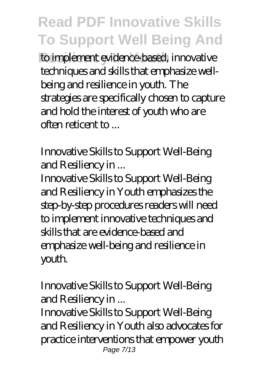**Residing to implement evidence-based, innovative** techniques and skills that emphasize wellbeing and resilience in youth. The strategies are specifically chosen to capture and hold the interest of youth who are often reticent to ...

#### *Innovative Skills to Support Well-Being and Resiliency in ...*

Innovative Skills to Support Well-Being and Resiliency in Youth emphasizes the step-by-step procedures readers will need to implement innovative techniques and skills that are evidence-based and emphasize well-being and resilience in youth.

#### *Innovative Skills to Support Well-Being and Resiliency in ...*

Innovative Skills to Support Well-Being and Resiliency in Youth also advocates for practice interventions that empower youth Page 7/13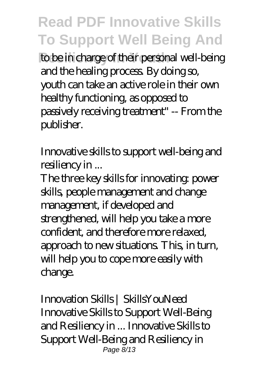to be in charge of their personal well-being and the healing process. By doing so, youth can take an active role in their own healthy functioning, as opposed to passively receiving treatment" -- From the publisher.

### *Innovative skills to support well-being and resiliency in ...*

The three key skills for innovating: power skills, people management and change management, if developed and strengthened, will help you take a more confident, and therefore more relaxed, approach to new situations. This, in turn, will help you to cope more easily with change.

*Innovation Skills | SkillsYouNeed* Innovative Skills to Support Well-Being and Resiliency in ... Innovative Skills to Support Well-Being and Resiliency in Page 8/13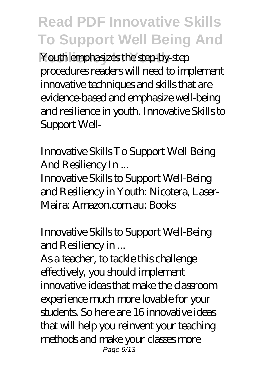Youth emphasizes the step-by-stepprocedures readers will need to implement innovative techniques and skills that are evidence-based and emphasize well-being and resilience in youth. Innovative Skills to Support Well-

#### *Innovative Skills To Support Well Being And Resiliency In ...*

Innovative Skills to Support Well-Being and Resiliency in Youth: Nicotera, Laser-Maira: Amazon.com.au: Books

### *Innovative Skills to Support Well-Being and Resiliency in ...*

As a teacher, to tackle this challenge effectively, you should implement innovative ideas that make the classroom experience much more lovable for your students. So here are 16 innovative ideas that will help you reinvent your teaching methods and make your classes more Page 9/13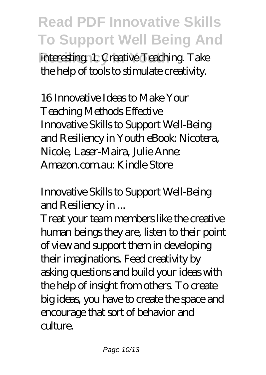**Read PDF Innovative Skills To Support Well Being And interesting. 1. Creative Teaching. Take** the help of tools to stimulate creativity.

*16 Innovative Ideas to Make Your Teaching Methods Effective* Innovative Skills to Support Well-Being and Resiliency in Youth eBook: Nicotera, Nicole, Laser-Maira, Julie Anne: Amazon.com.au: Kindle Store

### *Innovative Skills to Support Well-Being and Resiliency in ...*

Treat your team members like the creative human beings they are, listen to their point of view and support them in developing their imaginations. Feed creativity by asking questions and build your ideas with the help of insight from others. To create big ideas, you have to create the space and encourage that sort of behavior and culture.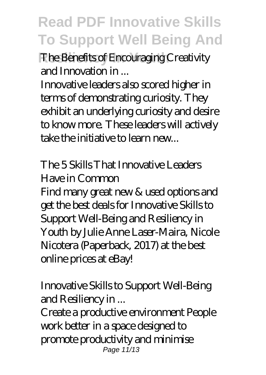**Resiliency In Youth** *The Benefits of Encouraging Creativity and Innovation in ...*

Innovative leaders also scored higher in terms of demonstrating curiosity. They exhibit an underlying curiosity and desire to know more. These leaders will actively take the initiative to learn new...

### *The 5 Skills That Innovative Leaders Have in Common*

Find many great new & used options and get the best deals for Innovative Skills to Support Well-Being and Resiliency in Youth by Julie Anne Laser-Maira, Nicole Nicotera (Paperback, 2017) at the best online prices at eBay!

### *Innovative Skills to Support Well-Being and Resiliency in ...*

Create a productive environment People work better in a space designed to promote productivity and minimise Page 11/13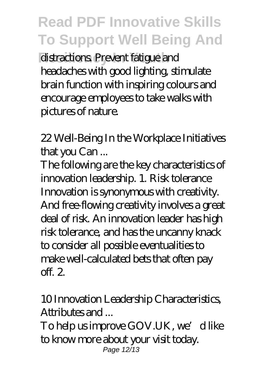distractions. Prevent fatigue and headaches with good lighting, stimulate brain function with inspiring colours and encourage employees to take walks with pictures of nature.

*22 Well-Being In the Workplace Initiatives that you Can ...*

The following are the key characteristics of innovation leadership. 1. Risk tolerance Innovation is synonymous with creativity. And free-flowing creativity involves a great deal of risk. An innovation leader has high risk tolerance, and has the uncanny knack to consider all possible eventualities to make well-calculated bets that often pay off. 2.

#### *10 Innovation Leadership Characteristics, Attributes and ...*

To help us improve GOV.UK, we'd like to know more about your visit today. Page 12/13